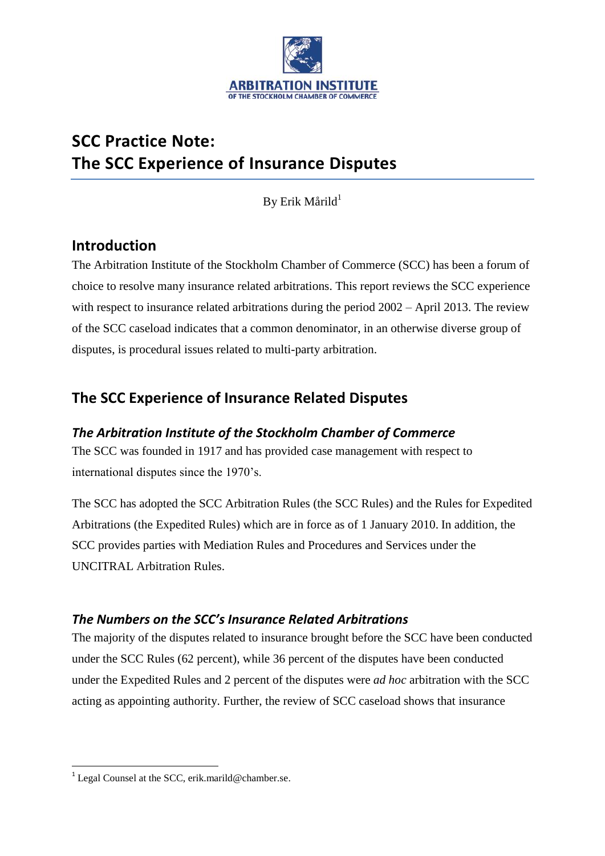

# **SCC Practice Note: The SCC Experience of Insurance Disputes**

By Erik Mårild $1$ 

## **Introduction**

The Arbitration Institute of the Stockholm Chamber of Commerce (SCC) has been a forum of choice to resolve many insurance related arbitrations. This report reviews the SCC experience with respect to insurance related arbitrations during the period  $2002 -$  April 2013. The review of the SCC caseload indicates that a common denominator, in an otherwise diverse group of disputes, is procedural issues related to multi-party arbitration.

# **The SCC Experience of Insurance Related Disputes**

### *The Arbitration Institute of the Stockholm Chamber of Commerce*

The SCC was founded in 1917 and has provided case management with respect to international disputes since the 1970's.

The SCC has adopted the SCC Arbitration Rules (the SCC Rules) and the Rules for Expedited Arbitrations (the Expedited Rules) which are in force as of 1 January 2010. In addition, the SCC provides parties with Mediation Rules and Procedures and Services under the UNCITRAL Arbitration Rules.

### *The Numbers on the SCC's Insurance Related Arbitrations*

The majority of the disputes related to insurance brought before the SCC have been conducted under the SCC Rules (62 percent), while 36 percent of the disputes have been conducted under the Expedited Rules and 2 percent of the disputes were *ad hoc* arbitration with the SCC acting as appointing authority. Further, the review of SCC caseload shows that insurance

**.** 

<sup>&</sup>lt;sup>1</sup> Legal Counsel at the SCC, erik.marild@chamber.se.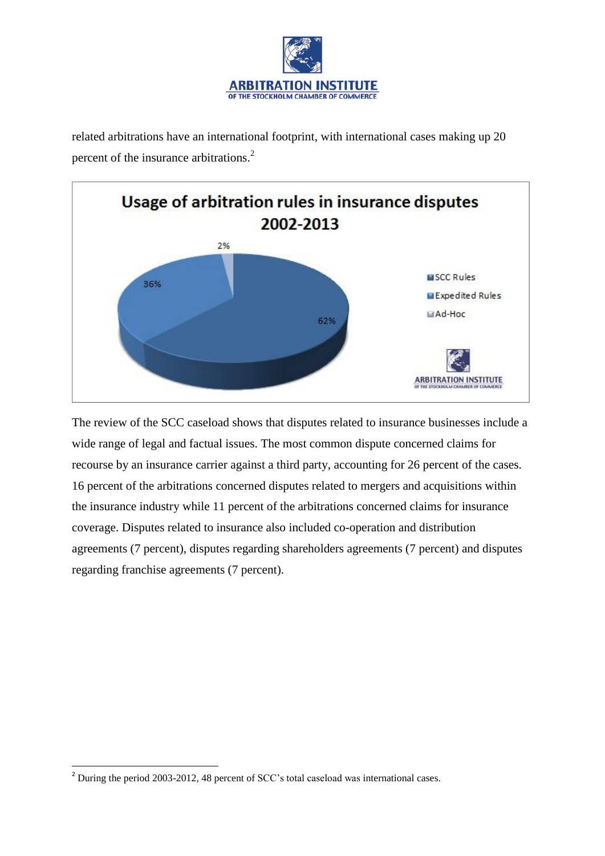

related arbitrations have an international footprint, with international cases making up 20 percent of the insurance arbitrations.<sup>2</sup>



The review of the SCC caseload shows that disputes related to insurance businesses include a wide range of legal and factual issues. The most common dispute concerned claims for recourse by an insurance carrier against a third party, accounting for 26 percent of the cases. 16 percent of the arbitrations concerned disputes related to mergers and acquisitions within the insurance industry while 11 percent of the arbitrations concerned claims for insurance coverage. Disputes related to insurance also included co-operation and distribution agreements (7 percent), disputes regarding shareholders agreements (7 percent) and disputes regarding franchise agreements (7 percent).

**.** 

<sup>2</sup> During the period 2003-2012, 48 percent of SCC's total caseload was international cases.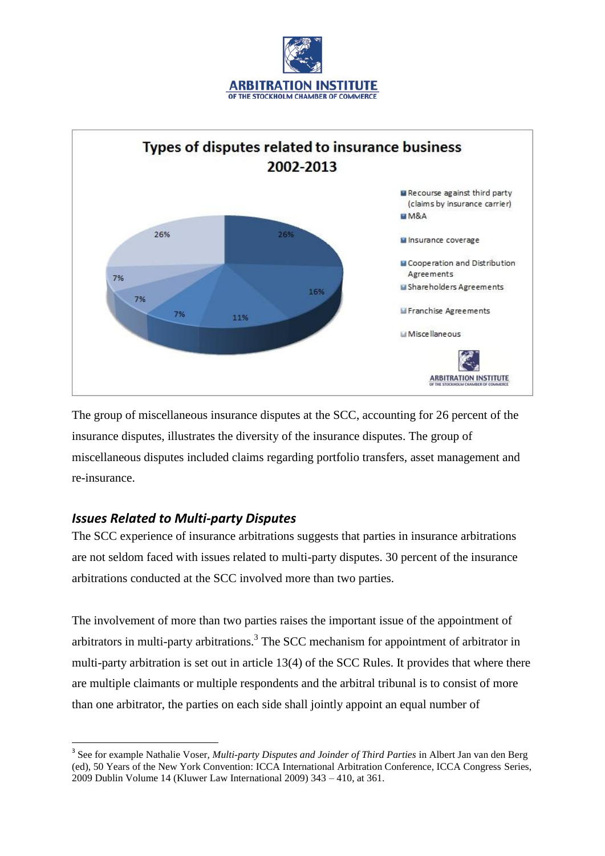



The group of miscellaneous insurance disputes at the SCC, accounting for 26 percent of the insurance disputes, illustrates the diversity of the insurance disputes. The group of miscellaneous disputes included claims regarding portfolio transfers, asset management and re-insurance.

#### *Issues Related to Multi-party Disputes*

 $\overline{a}$ 

The SCC experience of insurance arbitrations suggests that parties in insurance arbitrations are not seldom faced with issues related to multi-party disputes. 30 percent of the insurance arbitrations conducted at the SCC involved more than two parties.

The involvement of more than two parties raises the important issue of the appointment of arbitrators in multi-party arbitrations.<sup>3</sup> The SCC mechanism for appointment of arbitrator in multi-party arbitration is set out in article 13(4) of the SCC Rules. It provides that where there are multiple claimants or multiple respondents and the arbitral tribunal is to consist of more than one arbitrator, the parties on each side shall jointly appoint an equal number of

<sup>&</sup>lt;sup>3</sup> See for example Nathalie Voser, *Multi-party Disputes and Joinder of Third Parties* in Albert Jan van den Berg (ed), 50 Years of the New York Convention: ICCA International Arbitration Conference, ICCA Congress Series, 2009 Dublin Volume 14 (Kluwer Law International 2009) 343 – 410, at 361.